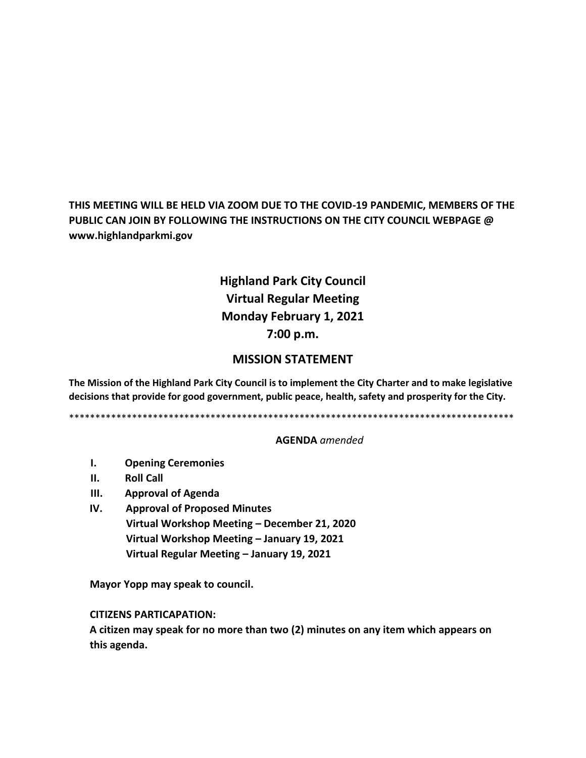**THIS MEETING WILL BE HELD VIA ZOOM DUE TO THE COVID-19 PANDEMIC, MEMBERS OF THE PUBLIC CAN JOIN BY FOLLOWING THE INSTRUCTIONS ON THE CITY COUNCIL WEBPAGE @ www.highlandparkmi.gov**

# **Highland Park City Council Virtual Regular Meeting Monday February 1, 2021 7:00 p.m.**

## **MISSION STATEMENT**

**The Mission of the Highland Park City Council is to implement the City Charter and to make legislative decisions that provide for good government, public peace, health, safety and prosperity for the City.**

\*\*\*\*\*\*\*\*\*\*\*\*\*\*\*\*\*\*\*\*\*\*\*\*\*\*\*\*\*\*\*\*\*\*\*\*\*\*\*\*\*\*\*\*\*\*\*\*\*\*\*\*\*\*\*\*\*\*\*\*\*\*\*\*\*\*\*\*\*\*\*\*\*\*\*\*\*\*\*\*\*\*\*\*\*

#### **AGENDA** *amended*

- **I. Opening Ceremonies**
- **II. Roll Call**
- **III. Approval of Agenda**
- **IV. Approval of Proposed Minutes Virtual Workshop Meeting – December 21, 2020 Virtual Workshop Meeting – January 19, 2021 Virtual Regular Meeting – January 19, 2021**

 **Mayor Yopp may speak to council.** 

 **CITIZENS PARTICAPATION:**

 **A citizen may speak for no more than two (2) minutes on any item which appears on this agenda.**